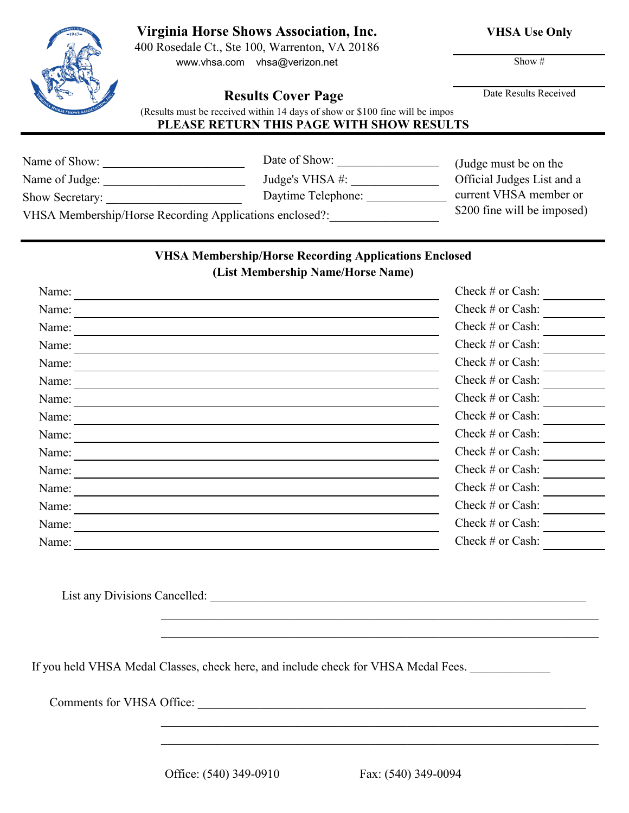# **Virginia Horse Shows Association, Inc. VHSA Use Only**

400 Rosedale Ct., Ste 100, Warrenton, VA 20186 www.vhsa.com vhsa@verizon.net  $\overline{\phantom{0}}$  Show #



# **Results Cover Page**

Date Results Received

 (Results must be received within 14 days of show or \$100 fine will be impos **PLEASE RETURN THIS PAGE WITH SHOW RESULTS**

| Name of Show:                                           | Date of Show:      | (Judge must be on the       |
|---------------------------------------------------------|--------------------|-----------------------------|
| Name of Judge:                                          | Judge's VHSA #:    | Official Judges List and a  |
| <b>Show Secretary:</b>                                  | Daytime Telephone: | current VHSA member or      |
| VHSA Membership/Horse Recording Applications enclosed?: |                    | \$200 fine will be imposed) |

# **VHSA Membership/Horse Recording Applications Enclosed (List Membership Name/Horse Name)**

| Name: | Check $#$ or Cash: |
|-------|--------------------|
| Name: | Check # or Cash:   |
| Name: | Check $#$ or Cash: |
| Name: | Check # or Cash:   |
| Name: | Check $#$ or Cash: |
| Name: | Check $#$ or Cash: |
| Name: | Check $#$ or Cash: |
| Name: | Check $#$ or Cash: |
| Name: | Check # or Cash:   |
| Name: | Check $#$ or Cash: |
| Name: | Check $#$ or Cash: |
| Name: | Check $#$ or Cash: |
| Name: | Check # or Cash:   |
| Name: | Check $#$ or Cash: |
| Name: | Check $#$ or Cash: |

List any Divisions Cancelled:

If you held VHSA Medal Classes, check here, and include check for VHSA Medal Fees.

 $\mathcal{L}_\text{max}$  , and the contract of the contract of the contract of the contract of the contract of the contract of the contract of the contract of the contract of the contract of the contract of the contract of the contr

 $\mathcal{L}_\text{max}$  , and the contract of the contract of the contract of the contract of the contract of the contract of the contract of the contract of the contract of the contract of the contract of the contract of the contr

 $\mathcal{L}_\text{max}$  , and the contract of the contract of the contract of the contract of the contract of the contract of the contract of the contract of the contract of the contract of the contract of the contract of the contr  $\mathcal{L}_\text{max}$  , and the contract of the contract of the contract of the contract of the contract of the contract of the contract of the contract of the contract of the contract of the contract of the contract of the contr

Comments for VHSA Office: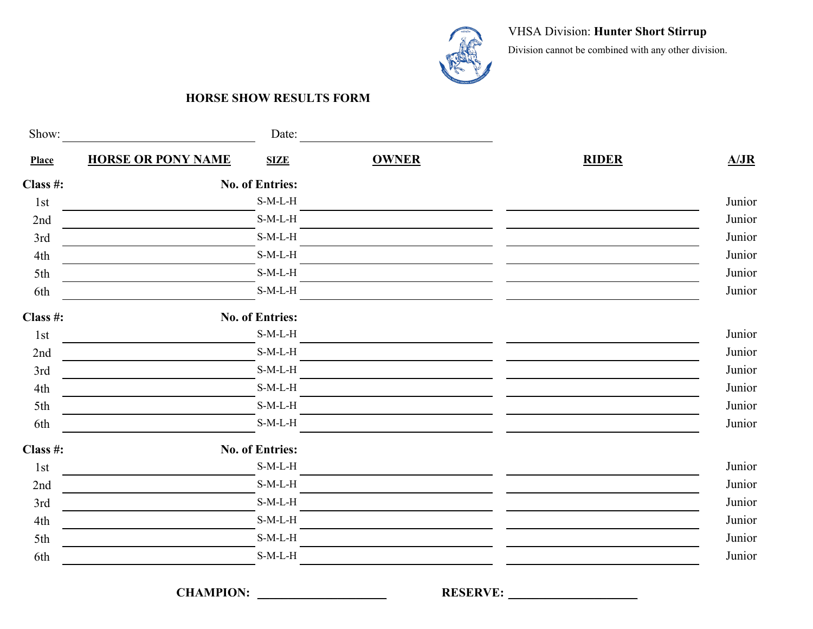

VHSA Division: **Hunter Short Stirrup**

Division cannot be combined with any other division.

# **HORSE SHOW RESULTS FORM**

| Show:    | Date:                                    |              |              |        |
|----------|------------------------------------------|--------------|--------------|--------|
| Place    | <b>HORSE OR PONY NAME</b><br><b>SIZE</b> | <b>OWNER</b> | <b>RIDER</b> | A/JR   |
| Class #: | <b>No. of Entries:</b>                   |              |              |        |
| 1st      | $S-M-L-H$                                |              |              | Junior |
| 2nd      | $S-M-L-H$                                |              |              | Junior |
| 3rd      | $S-M-L-H$                                |              |              | Junior |
| 4th      | $S-M-L-H$                                |              |              | Junior |
| 5th      | $S-M-L-H$                                |              |              | Junior |
| 6th      | $S-M-L-H$                                |              |              | Junior |
| Class #: | <b>No. of Entries:</b>                   |              |              |        |
| 1st      | $S-M-L-H$                                |              |              | Junior |
| 2nd      | $S-M-L-H$                                |              |              | Junior |
| 3rd      | $S-M-L-H$                                |              |              | Junior |
| 4th      | $S-M-L-H$                                |              |              | Junior |
| 5th      | $S-M-L-H$                                |              |              | Junior |
| 6th      | $S-M-L-H$                                |              |              | Junior |
| Class #: | <b>No. of Entries:</b>                   |              |              |        |
| 1st      | $S-M-L-H$                                |              |              | Junior |
| 2nd      | $S-M-L-H$                                |              |              | Junior |
| 3rd      | $S-M-L-H$                                |              |              | Junior |
| 4th      | $S-M-L-H$                                |              |              | Junior |
| 5th      | $\mbox{S-M-L-H}$                         |              |              | Junior |
| 6th      | $S-M-L-H$                                |              |              | Junior |
|          |                                          |              |              |        |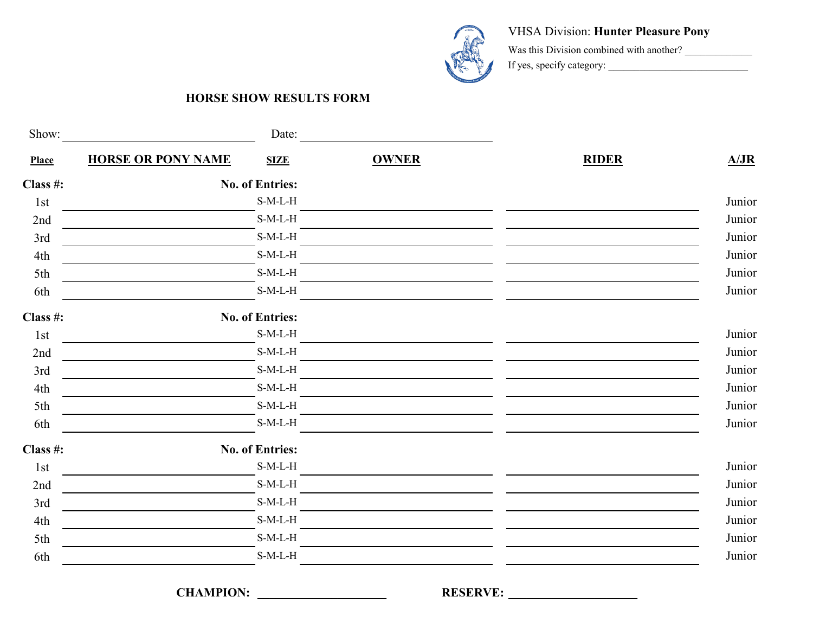

# VHSA Division: **Hunter Pleasure Pony**

Was this Division combined with another? \_\_\_\_\_\_\_\_\_\_\_\_\_

If yes, specify category: \_\_\_\_\_\_\_\_\_\_\_\_\_\_\_\_\_\_\_\_\_\_\_\_\_\_\_

# **HORSE SHOW RESULTS FORM**

| Show:        | Date:                                    |              |              |        |
|--------------|------------------------------------------|--------------|--------------|--------|
| <b>Place</b> | <b>HORSE OR PONY NAME</b><br><b>SIZE</b> | <b>OWNER</b> | <b>RIDER</b> | A/JR   |
| Class #:     | <b>No. of Entries:</b>                   |              |              |        |
| 1st          | $\mbox{S-M-L-H}$                         |              |              | Junior |
| 2nd          | $\mbox{S-M-L-H}$                         |              |              | Junior |
| 3rd          | $\mbox{S-M-L-H}$                         |              |              | Junior |
| 4th          | $\mbox{S-M-L-H}$                         |              |              | Junior |
| 5th          | $S-M-L-H$                                |              |              | Junior |
| 6th          | $\mbox{S-M-L-H}$                         |              |              | Junior |
| Class #:     | <b>No. of Entries:</b>                   |              |              |        |
| 1st          | $S-M-L-H$                                |              |              | Junior |
| 2nd          | $\mbox{S-M-L-H}$                         |              |              | Junior |
| 3rd          | $S-M-L-H$                                |              |              | Junior |
| 4th          | $\mbox{S-M-L-H}$                         |              |              | Junior |
| 5th          | $\mbox{S-M-L-H}$                         |              |              | Junior |
| 6th          | $\mbox{S-M-L-H}$                         |              |              | Junior |
| Class #:     | <b>No. of Entries:</b>                   |              |              |        |
| 1st          | $S-M-L-H$                                |              |              | Junior |
| 2nd          | $S-M-L-H$                                |              |              | Junior |
| 3rd          | $S-M-L-H$                                |              |              | Junior |
| 4th          | $S-M-L-H$                                |              |              | Junior |
| 5th          | $\mbox{S-M-L-H}$                         |              |              | Junior |
| 6th          | $S-M-L-H$                                |              |              | Junior |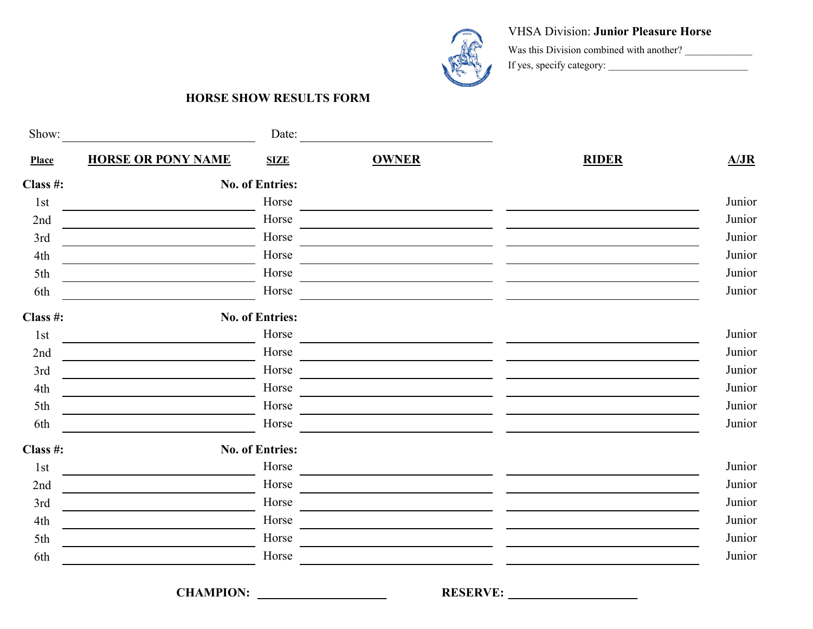

#### VHSA Division: **Junior Pleasure Horse**

Was this Division combined with another? \_\_\_\_\_\_\_\_\_\_\_\_\_

If yes, specify category: \_\_\_\_\_\_\_\_\_\_\_\_\_\_\_\_\_\_\_\_\_\_\_\_\_\_\_

# **HORSE SHOW RESULTS FORM**

|                           | Date:       |                                                                            |              |        |
|---------------------------|-------------|----------------------------------------------------------------------------|--------------|--------|
| <b>HORSE OR PONY NAME</b> | <b>SIZE</b> | <b>OWNER</b>                                                               | <b>RIDER</b> | A/JR   |
|                           |             |                                                                            |              |        |
|                           | Horse       |                                                                            |              | Junior |
|                           | Horse       |                                                                            |              | Junior |
|                           | Horse       |                                                                            |              | Junior |
|                           | Horse       |                                                                            |              | Junior |
|                           | Horse       |                                                                            |              | Junior |
|                           | Horse       |                                                                            |              | Junior |
|                           |             |                                                                            |              |        |
|                           | Horse       |                                                                            |              | Junior |
|                           | Horse       |                                                                            |              | Junior |
|                           | Horse       |                                                                            |              | Junior |
|                           | Horse       |                                                                            |              | Junior |
|                           | Horse       |                                                                            |              | Junior |
|                           | Horse       |                                                                            |              | Junior |
|                           |             |                                                                            |              |        |
|                           | Horse       |                                                                            |              | Junior |
|                           | Horse       |                                                                            |              | Junior |
|                           | Horse       |                                                                            |              | Junior |
|                           | Horse       |                                                                            |              | Junior |
|                           | Horse       |                                                                            |              | Junior |
|                           | Horse       |                                                                            |              | Junior |
|                           |             | <b>No. of Entries:</b><br><b>No. of Entries:</b><br><b>No. of Entries:</b> |              |        |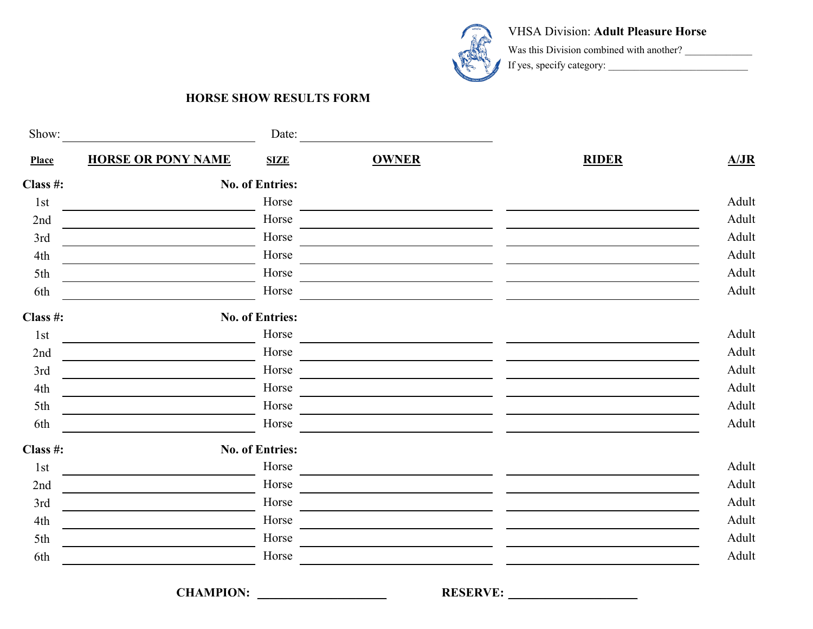

VHSA Division: **Adult Pleasure Horse**

Was this Division combined with another?

If yes, specify category: \_\_\_\_\_\_\_\_\_\_\_\_\_\_\_\_\_\_\_\_\_\_\_\_\_\_\_

# **HORSE SHOW RESULTS FORM**

| Show:       |                           | Date:                  |              |              |       |
|-------------|---------------------------|------------------------|--------------|--------------|-------|
| Place       | <b>HORSE OR PONY NAME</b> | <b>SIZE</b>            | <b>OWNER</b> | <b>RIDER</b> | A/JR  |
| Class #:    |                           | <b>No. of Entries:</b> |              |              |       |
| 1st         |                           | Horse                  |              |              | Adult |
| 2nd         |                           | Horse                  |              |              | Adult |
| 3rd         |                           | Horse                  |              |              | Adult |
| 4th         |                           | Horse                  |              |              | Adult |
| 5th         |                           | Horse                  |              |              | Adult |
| 6th         |                           | Horse                  |              |              | Adult |
| Class $#$ : |                           | <b>No. of Entries:</b> |              |              |       |
| 1st         |                           | Horse                  |              |              | Adult |
| 2nd         |                           | Horse                  |              |              | Adult |
| 3rd         |                           | Horse                  |              |              | Adult |
| 4th         |                           | Horse                  |              |              | Adult |
| 5th         |                           | Horse                  |              |              | Adult |
| 6th         |                           | Horse                  |              |              | Adult |
| Class #:    |                           | <b>No. of Entries:</b> |              |              |       |
| 1st         |                           | Horse                  |              |              | Adult |
| 2nd         |                           | Horse                  |              |              | Adult |
| 3rd         |                           | Horse                  |              |              | Adult |
| 4th         |                           | Horse                  |              |              | Adult |
| 5th         |                           | Horse                  |              |              | Adult |
| 6th         |                           | Horse                  |              |              | Adult |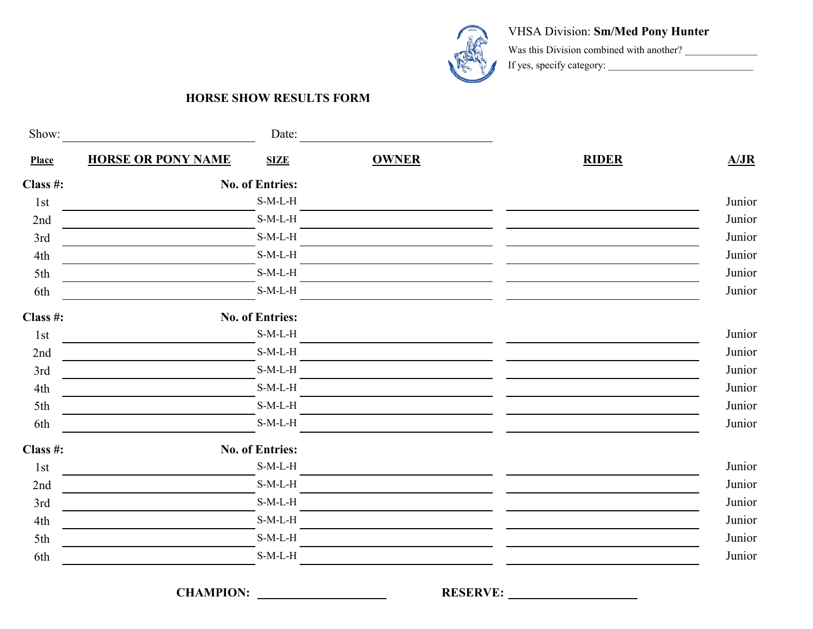

# VHSA Division: **Sm/Med Pony Hunter**

Was this Division combined with another? \_\_\_\_\_\_\_\_\_\_\_\_\_\_

If yes, specify category: \_\_\_\_\_\_\_\_\_\_\_\_\_\_\_\_\_\_\_\_\_\_\_\_\_\_\_\_

# **HORSE SHOW RESULTS FORM**

| Show:       | Date:                                    |              |              |        |
|-------------|------------------------------------------|--------------|--------------|--------|
| Place       | <b>HORSE OR PONY NAME</b><br><b>SIZE</b> | <b>OWNER</b> | <b>RIDER</b> | A/JR   |
| Class #:    | <b>No. of Entries:</b>                   |              |              |        |
| 1st         | $S-M-L-H$                                |              |              | Junior |
| 2nd         | $S-M-L-H$                                |              |              | Junior |
| 3rd         | $S-M-L-H$                                |              |              | Junior |
| 4th         | $S-M-L-H$                                |              |              | Junior |
| 5th         | $S-M-L-H$                                |              |              | Junior |
| 6th         | $S-M-L-H$                                |              |              | Junior |
| Class $#$ : | <b>No. of Entries:</b>                   |              |              |        |
| 1st         | $S-M-L-H$                                |              |              | Junior |
| 2nd         | $S-M-L-H$                                |              |              | Junior |
| 3rd         | $S-M-L-H$                                |              |              | Junior |
| 4th         | $S-M-L-H$                                |              |              | Junior |
| 5th         | $S-M-L-H$                                |              |              | Junior |
| 6th         | $S-M-L-H$                                |              |              | Junior |
| Class #:    | <b>No. of Entries:</b>                   |              |              |        |
| 1st         | $S-M-L-H$                                |              |              | Junior |
| 2nd         | $\mbox{S-M-L-H}$                         |              |              | Junior |
| 3rd         | $\mbox{S-M-L-H}$                         |              |              | Junior |
| 4th         | $\mbox{S-M-L-H}$                         |              |              | Junior |
| 5th         | $S-M-L-H$                                |              |              | Junior |
| 6th         | $S-M-L-H$                                |              |              | Junior |
|             |                                          |              |              |        |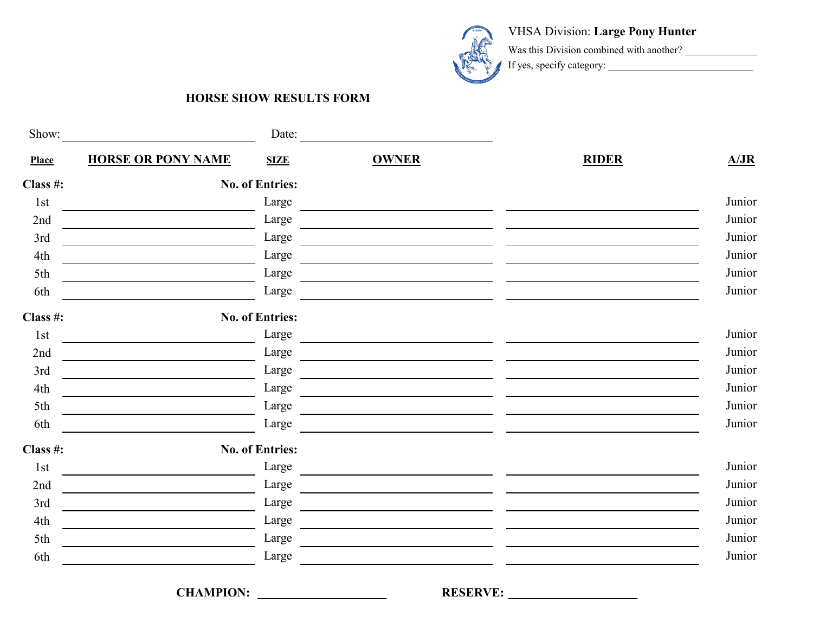

VHSA Division: **Large Pony Hunter**

Was this Division combined with another?

If yes, specify category:

# **HORSE SHOW RESULTS FORM**

| Show:    |                           | Date:                  |              |              |        |
|----------|---------------------------|------------------------|--------------|--------------|--------|
| Place    | <b>HORSE OR PONY NAME</b> | <b>SIZE</b>            | <b>OWNER</b> | <b>RIDER</b> | A/JR   |
| Class #: |                           | <b>No. of Entries:</b> |              |              |        |
| 1st      |                           | Large                  |              |              | Junior |
| 2nd      |                           | Large                  |              |              | Junior |
| 3rd      |                           | Large                  |              |              | Junior |
| 4th      |                           | Large                  |              |              | Junior |
| 5th      |                           | Large                  |              |              | Junior |
| 6th      |                           | Large                  |              |              | Junior |
| Class #: |                           | <b>No. of Entries:</b> |              |              |        |
| 1st      |                           | Large                  |              |              | Junior |
| 2nd      |                           | Large                  |              |              | Junior |
| 3rd      |                           | Large                  |              |              | Junior |
| 4th      |                           | Large                  |              |              | Junior |
| 5th      |                           | Large                  |              |              | Junior |
| 6th      |                           | Large                  |              |              | Junior |
| Class #: |                           | <b>No. of Entries:</b> |              |              |        |
| 1st      |                           | Large                  |              |              | Junior |
| 2nd      |                           | Large                  |              |              | Junior |
| 3rd      |                           | Large                  |              |              | Junior |
| 4th      |                           | Large                  |              |              | Junior |
| 5th      |                           | Large                  |              |              | Junior |
| 6th      |                           | Large                  |              |              | Junior |
|          |                           |                        |              |              |        |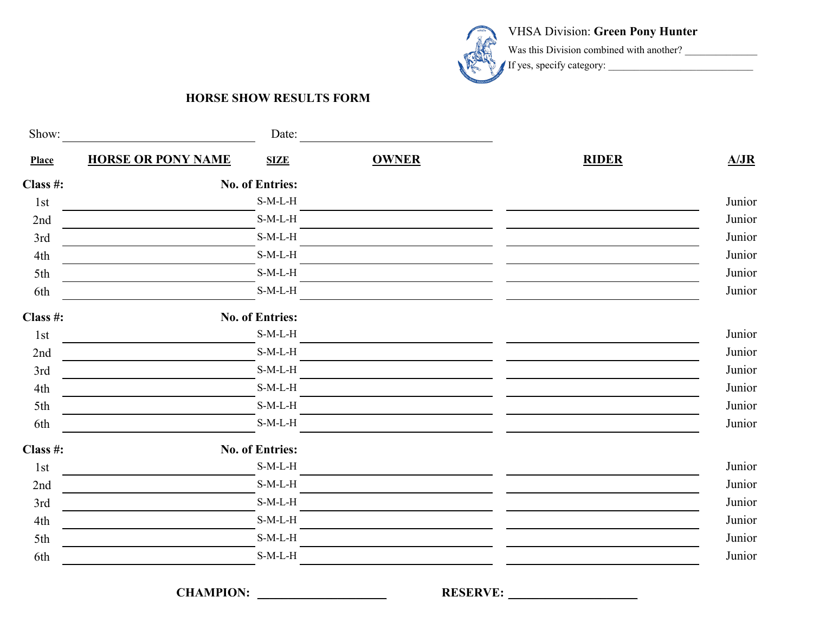

VHSA Division: **Green Pony Hunter**

Was this Division combined with another?

If yes, specify category:

# **HORSE SHOW RESULTS FORM**

| Show:    | Date:                                    |              |              |        |
|----------|------------------------------------------|--------------|--------------|--------|
| Place    | <b>HORSE OR PONY NAME</b><br><b>SIZE</b> | <b>OWNER</b> | <b>RIDER</b> | A/JR   |
| Class #: | <b>No. of Entries:</b>                   |              |              |        |
| 1st      | $\mbox{S-M-L-H}$                         |              |              | Junior |
| 2nd      | $\mbox{S-M-L-H}$                         |              |              | Junior |
| 3rd      | $\mbox{S-M-L-H}$                         |              |              | Junior |
| 4th      | $\mbox{S-M-L-H}$                         |              |              | Junior |
| 5th      | $S-M-L-H$                                |              |              | Junior |
| 6th      | $\mbox{S-M-L-H}$                         |              |              | Junior |
| Class #: | <b>No. of Entries:</b>                   |              |              |        |
| 1st      | $S-M-L-H$                                |              |              | Junior |
| 2nd      | $S-M-L-H$                                |              |              | Junior |
| 3rd      | $\mbox{S-M-L-H}$                         |              |              | Junior |
| 4th      | $\mbox{S-M-L-H}$                         |              |              | Junior |
| 5th      | $\mbox{S-M-L-H}$                         |              |              | Junior |
| 6th      | $S-M-L-H$                                |              |              | Junior |
| Class #: | <b>No. of Entries:</b>                   |              |              |        |
| 1st      | $S-M-L-H$                                |              |              | Junior |
| 2nd      | $S-M-L-H$                                |              |              | Junior |
| 3rd      | $S-M-L-H$                                |              |              | Junior |
| 4th      | $S-M-L-H$                                |              |              | Junior |
| 5th      | $\mbox{S-M-L-H}$                         |              |              | Junior |
| 6th      | $S-M-L-H$                                |              |              | Junior |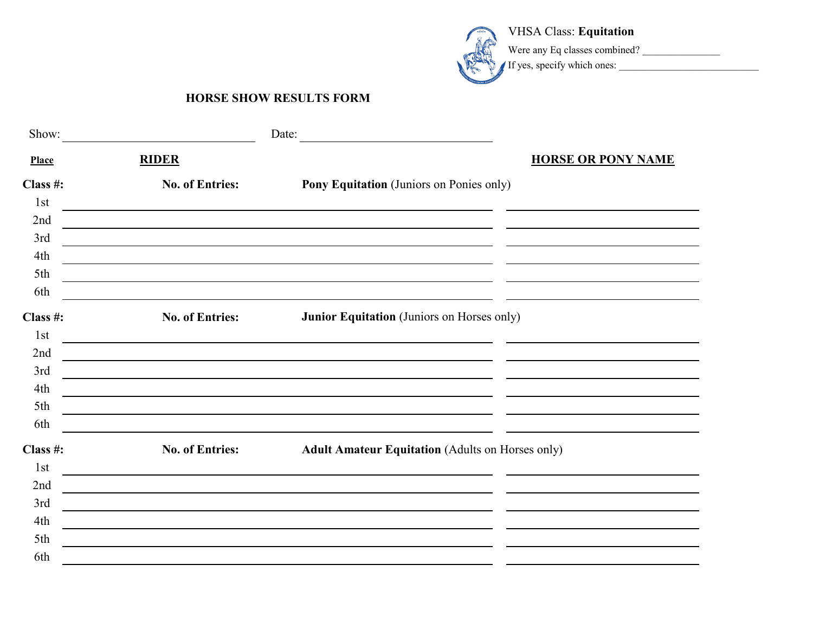

VHSA Class: **Equitation** Were any Eq classes combined? \_\_\_\_\_\_\_\_\_\_\_\_\_\_\_

| Show:       |                                                                                                                  | Date:<br><u> 1989 - John Stein, mars and de Brazilian (b. 1989)</u>                                              |                           |
|-------------|------------------------------------------------------------------------------------------------------------------|------------------------------------------------------------------------------------------------------------------|---------------------------|
| Place       | <b>RIDER</b>                                                                                                     |                                                                                                                  | <b>HORSE OR PONY NAME</b> |
| Class $#$ : | <b>No. of Entries:</b>                                                                                           | Pony Equitation (Juniors on Ponies only)                                                                         |                           |
| 1st         |                                                                                                                  |                                                                                                                  |                           |
| 2nd         |                                                                                                                  | and the control of the control of the control of the control of the control of the control of the control of the |                           |
| 3rd         | <u> 1989 - Johann Barnett, fransk politiker (d. 1989)</u>                                                        |                                                                                                                  |                           |
| 4th         |                                                                                                                  | and the control of the control of the control of the control of the control of the control of the control of the |                           |
| 5th         |                                                                                                                  |                                                                                                                  |                           |
| 6th         |                                                                                                                  |                                                                                                                  |                           |
| Class $#$ : | <b>No. of Entries:</b>                                                                                           | Junior Equitation (Juniors on Horses only)                                                                       |                           |
| 1st         |                                                                                                                  |                                                                                                                  |                           |
| 2nd         |                                                                                                                  |                                                                                                                  |                           |
| 3rd         |                                                                                                                  |                                                                                                                  |                           |
| 4th         | ,我们也不会有什么。""我们的人,我们也不会有什么?""我们的人,我们也不会有什么?""我们的人,我们也不会有什么?""我们的人,我们也不会有什么?""我们的人                                 |                                                                                                                  |                           |
| 5th         | <u> 1989 - Johann Stein, mars an deus Amerikaansk kommunister (* 1958)</u>                                       |                                                                                                                  |                           |
| 6th         |                                                                                                                  |                                                                                                                  |                           |
| Class #:    | <b>No. of Entries:</b>                                                                                           | <b>Adult Amateur Equitation (Adults on Horses only)</b>                                                          |                           |
| 1st         |                                                                                                                  |                                                                                                                  |                           |
| 2nd         | and the control of the control of the control of the control of the control of the control of the control of the |                                                                                                                  |                           |
| 3rd         | and the control of the control of the control of the control of the control of the control of the control of the |                                                                                                                  |                           |
| 4th         |                                                                                                                  |                                                                                                                  |                           |
| 5th         |                                                                                                                  |                                                                                                                  |                           |
| 6th         |                                                                                                                  |                                                                                                                  |                           |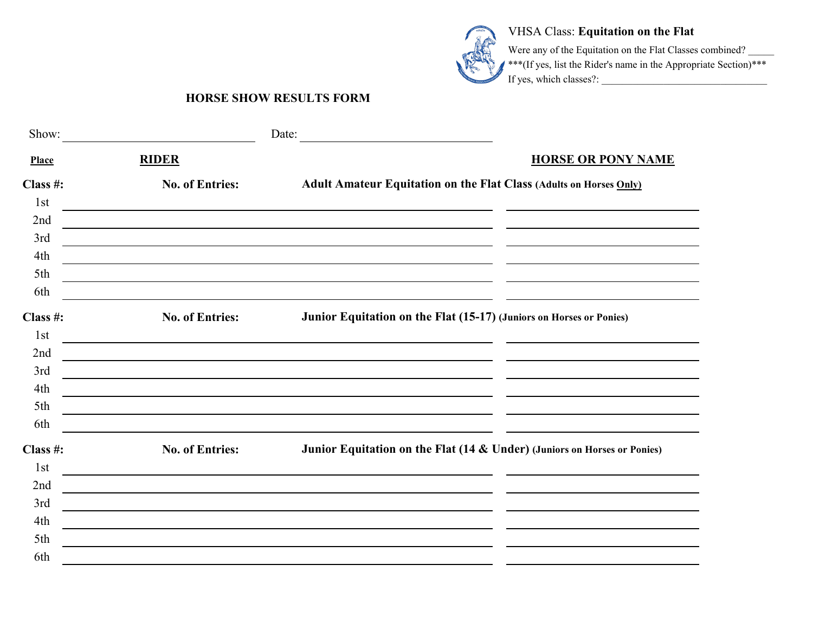

# VHSA Class: **Equitation on the Flat**

Were any of the Equitation on the Flat Classes combined? \*\*\*(If yes, list the Rider's name in the Appropriate Section)\*\*\* If yes, which classes?:

| Show:       | <u> 1980 - Johann Barbara, martxa alemaniar a</u>                                                                     | Date:<br><u> 1989 - Johann Stein, fransk politik (f. 1989)</u>                                                        |
|-------------|-----------------------------------------------------------------------------------------------------------------------|-----------------------------------------------------------------------------------------------------------------------|
| Place       | <b>RIDER</b>                                                                                                          | <b>HORSE OR PONY NAME</b>                                                                                             |
| Class $#$ : | <b>No. of Entries:</b>                                                                                                | Adult Amateur Equitation on the Flat Class (Adults on Horses Only)                                                    |
| 1st         |                                                                                                                       |                                                                                                                       |
| 2nd         |                                                                                                                       | and the control of the control of the control of the control of the control of the control of the control of the      |
| 3rd         |                                                                                                                       |                                                                                                                       |
| 4th         |                                                                                                                       | <u> 1989 - Johann Barn, mars ann an t-Amhainn an t-Amhainn an t-Amhainn an t-Amhainn an t-Amhainn an t-Amhainn an</u> |
| 5th         |                                                                                                                       | ,我们也不会有什么。""我们的人,我们也不会有什么?""我们的人,我们也不会有什么?""我们的人,我们也不会有什么?""我们的人,我们也不会有什么?""我们的人                                      |
| 6th         |                                                                                                                       |                                                                                                                       |
| Class #:    | <b>No. of Entries:</b>                                                                                                | Junior Equitation on the Flat (15-17) (Juniors on Horses or Ponies)                                                   |
| 1st         | <u> 1989 - Johann Harry Barn, mars ar breist fan de Amerikaanske kommunent fan de Amerikaanske kommunent fan de A</u> |                                                                                                                       |
| 2nd         |                                                                                                                       | <u> 1989 - Johann Stoff, deutscher Stoff, der Stoff, der Stoff, der Stoff, der Stoff, der Stoff, der Stoff, der S</u> |
| 3rd         |                                                                                                                       |                                                                                                                       |
| 4th         |                                                                                                                       |                                                                                                                       |
| 5th         |                                                                                                                       |                                                                                                                       |
| 6th         |                                                                                                                       |                                                                                                                       |
| Class #:    | <b>No. of Entries:</b>                                                                                                | Junior Equitation on the Flat (14 & Under) (Juniors on Horses or Ponies)                                              |
| 1st         |                                                                                                                       |                                                                                                                       |
| 2nd         |                                                                                                                       | <u> 1989 - Johann John Stone, markin sanadi a shekara ta 1989 - An tsara tsara tsara tsara tsara tsara tsara tsa</u>  |
| 3rd         |                                                                                                                       | <u> 1980 - Johann Stoff, amerikansk politik (* 1900)</u>                                                              |
| 4th         |                                                                                                                       | ,我们也不会有什么。""我们的人,我们也不会有什么?""我们的人,我们也不会有什么?""我们的人,我们也不会有什么?""我们的人,我们也不会有什么?""我们的人                                      |
| 5th         |                                                                                                                       |                                                                                                                       |
| 6th         |                                                                                                                       |                                                                                                                       |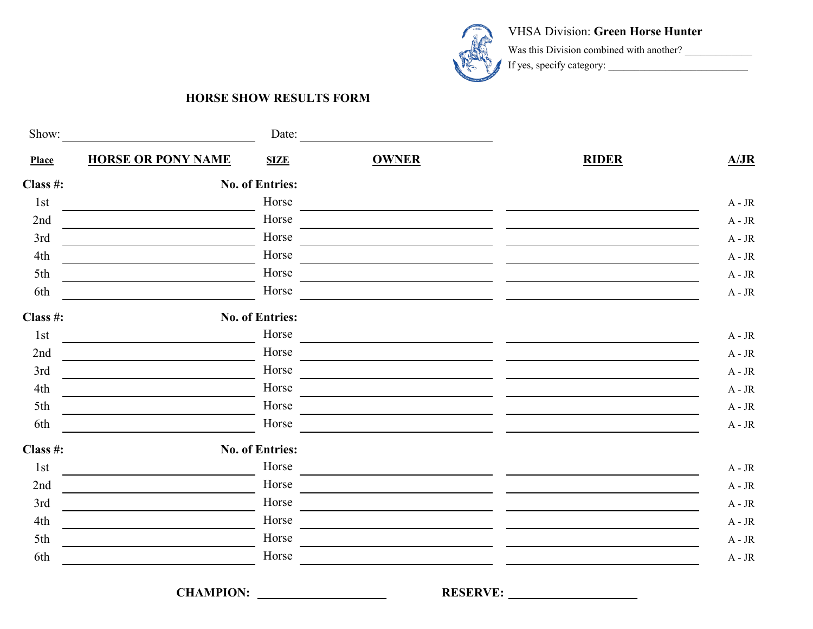

# VHSA Division: **Green Horse Hunter**

Was this Division combined with another? \_\_\_\_\_\_\_\_\_\_\_\_\_

If yes, specify category:

# **HORSE SHOW RESULTS FORM**

| Show:       |                           | Date:                  |              |              |                   |
|-------------|---------------------------|------------------------|--------------|--------------|-------------------|
| Place       | <b>HORSE OR PONY NAME</b> | <b>SIZE</b>            | <b>OWNER</b> | <b>RIDER</b> | A/JR              |
| Class #:    |                           | <b>No. of Entries:</b> |              |              |                   |
| 1st         |                           | Horse                  |              |              | $\mathbf{A}$ - JR |
| 2nd         |                           | Horse                  |              |              | $\mathbf{A}$ - JR |
| 3rd         |                           | Horse                  |              |              | $A$ - JR          |
| 4th         |                           | Horse                  |              |              | $A$ - JR          |
| 5th         |                           | Horse                  |              |              | $A$ - JR          |
| 6th         |                           | Horse                  |              |              | $\mathbf{A}$ - JR |
| Class $#$ : |                           | <b>No. of Entries:</b> |              |              |                   |
| 1st         |                           | Horse                  |              |              | $\mathbf{A}$ - JR |
| 2nd         |                           | Horse                  |              |              | $A$ - JR          |
| 3rd         |                           | Horse                  |              |              | $\mathbf{A}$ - JR |
| 4th         |                           | Horse                  |              |              | $A$ - JR          |
| 5th         |                           | Horse                  |              |              | $\mathbf{A}$ - JR |
| 6th         |                           | Horse                  |              |              | $\mathbf{A}$ - JR |
| Class #:    |                           | <b>No. of Entries:</b> |              |              |                   |
| 1st         |                           | Horse                  |              |              | $\mathbf{A}$ - JR |
| 2nd         |                           | Horse                  |              |              | $A$ - JR          |
| 3rd         |                           | Horse                  |              |              | $\mathbf{A}$ - JR |
| 4th         |                           | Horse                  |              |              | $A$ - JR          |
| 5th         |                           | Horse                  |              |              | $A$ - JR          |
| 6th         |                           | Horse                  |              |              | $A$ - JR          |
|             |                           |                        |              |              |                   |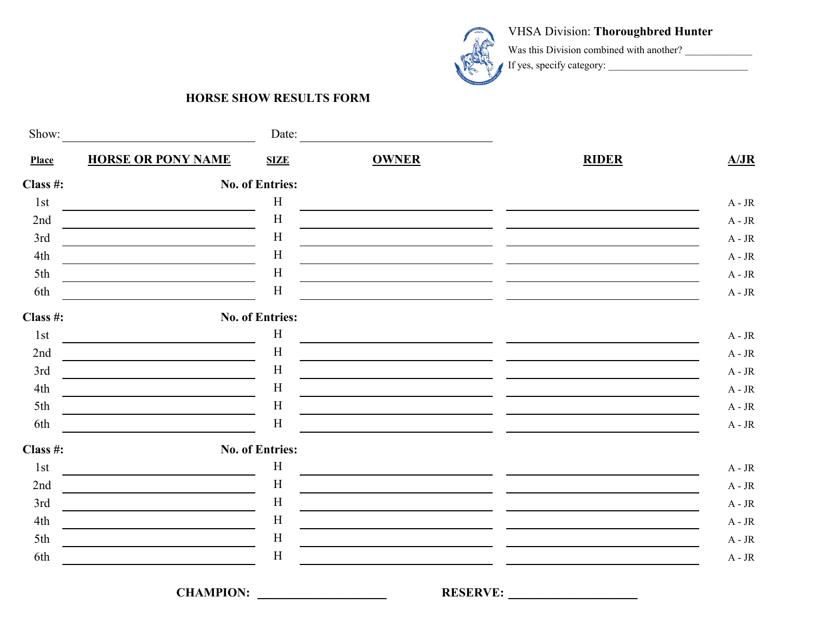

# VHSA Division: **Thoroughbred Hunter**

Was this Division combined with another? \_\_\_\_\_\_\_\_\_\_\_\_\_

If yes, specify category:

# **HORSE SHOW RESULTS FORM**

| Show:    |                                                         | Date:                     |                                                                                 |              |                   |
|----------|---------------------------------------------------------|---------------------------|---------------------------------------------------------------------------------|--------------|-------------------|
| Place    | <b>HORSE OR PONY NAME</b>                               | <b>SIZE</b>               | <b>OWNER</b>                                                                    | <b>RIDER</b> | A/JR              |
| Class #: |                                                         | <b>No. of Entries:</b>    |                                                                                 |              |                   |
| 1st      |                                                         | $\mathbf H$               |                                                                                 |              | $A$ - JR          |
| 2nd      |                                                         | $\boldsymbol{\mathrm{H}}$ |                                                                                 |              | $A$ - JR          |
| 3rd      |                                                         | $\boldsymbol{\mathrm{H}}$ |                                                                                 |              | $\mathbf{A}$ - JR |
| 4th      |                                                         | $\boldsymbol{\mathrm{H}}$ |                                                                                 |              | $\mathbf{A}$ - JR |
| 5th      |                                                         | $\boldsymbol{\mathrm{H}}$ |                                                                                 |              | $A$ - JR          |
| 6th      |                                                         | $\boldsymbol{\mathrm{H}}$ |                                                                                 |              | $A$ - JR          |
| Class #: |                                                         | <b>No. of Entries:</b>    |                                                                                 |              |                   |
| 1st      |                                                         | $\boldsymbol{\mathrm{H}}$ |                                                                                 |              | $A$ - JR          |
| 2nd      | <u> 1980 - Johann Barbara, martin d</u>                 | $\mathbf H$               |                                                                                 |              | $A$ - JR          |
| 3rd      |                                                         | $\boldsymbol{\mathrm{H}}$ |                                                                                 |              | $A$ - JR          |
| 4th      | <u> 1989 - Johann Barn, amerikansk politiker (</u>      | $\, {\rm H}$              |                                                                                 |              | $A$ - JR          |
| 5th      |                                                         | $\boldsymbol{\mathrm{H}}$ |                                                                                 |              | $A$ - JR          |
| 6th      |                                                         | $\mathbf H$               |                                                                                 |              | $\mathbf{A}$ - JR |
| Class #: |                                                         | <b>No. of Entries:</b>    |                                                                                 |              |                   |
| 1st      |                                                         | H                         | the contract of the contract of the contract of the contract of the contract of |              | $\mathbf{A}$ - JR |
| 2nd      |                                                         | $\mathbf H$               |                                                                                 |              | $\mathbf{A}$ - JR |
| 3rd      | <u> 1989 - Johann Barnett, fransk politik (d. 1989)</u> | $\mathbf H$               |                                                                                 |              | $\mathbf{A}$ - JR |
| 4th      |                                                         | $\mathbf H$               |                                                                                 |              | $A$ - JR          |
| 5th      | <u> 1989 - Johann Stein, fransk politik (d. 1989)</u>   | $\, {\rm H}$              |                                                                                 |              | $A$ - JR          |
| 6th      |                                                         | $\, {\rm H}$              |                                                                                 |              | $A$ - JR          |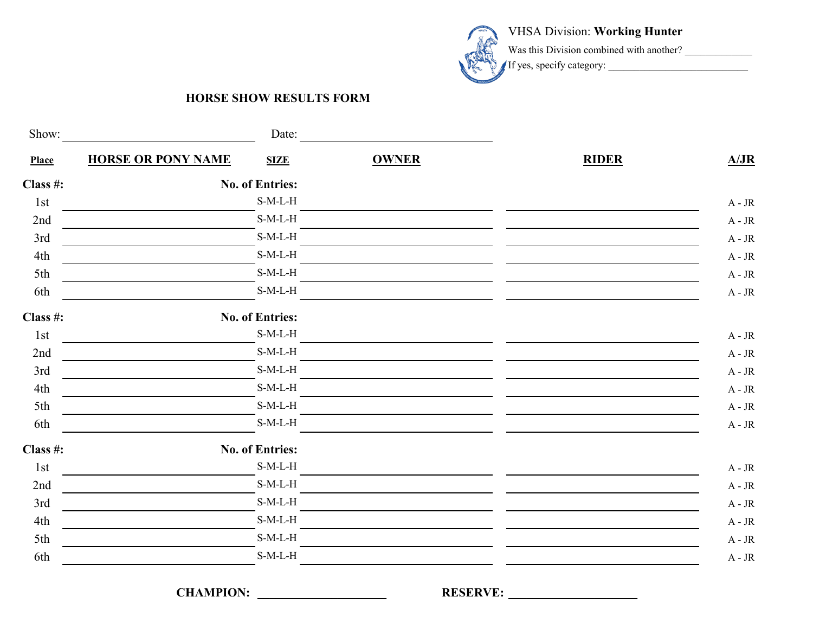

VHSA Division: **Working Hunter**

Was this Division combined with another? \_\_\_\_\_\_\_\_\_\_\_\_\_

If yes, specify category:

# **HORSE SHOW RESULTS FORM**

| <b>HORSE OR PONY NAME</b><br><b>OWNER</b><br><b>RIDER</b><br><b>Place</b><br><b>SIZE</b><br><b>No. of Entries:</b><br>Class #:<br>$S-M-L-H$<br>1st<br>$S-M-L-H$<br>2nd<br>$S-M-L-H$<br>3rd<br>$S-M-L-H$<br>4th<br>$S-M-L-H$<br>5th<br>$\mbox{S-M-L-H}$<br>6th<br>Class #:<br><b>No. of Entries:</b><br>$S-M-L-H$<br>1st<br>$\mbox{S-M-L-H}$<br>2nd<br>$S-M-L-H$<br>3rd<br>$\mbox{S-M-L-H}$<br>4th<br>$S-M-L-H$<br>5th<br>$\mbox{S-M-L-H}$<br>6th<br>Class #:<br><b>No. of Entries:</b><br>$S-M-L-H$<br>1st<br>$\mbox{S-M-L-H}$<br>2nd<br>$S-M-L-H$<br>3rd<br>$\mbox{S-M-L-H}$<br>4th<br>$\mbox{S-M-L-H}$<br>5th<br>$S-M-L-H$<br>6th | Show: | Date: |  |                   |
|-------------------------------------------------------------------------------------------------------------------------------------------------------------------------------------------------------------------------------------------------------------------------------------------------------------------------------------------------------------------------------------------------------------------------------------------------------------------------------------------------------------------------------------------------------------------------------------------------------------------------------------|-------|-------|--|-------------------|
|                                                                                                                                                                                                                                                                                                                                                                                                                                                                                                                                                                                                                                     |       |       |  | A/JR              |
|                                                                                                                                                                                                                                                                                                                                                                                                                                                                                                                                                                                                                                     |       |       |  |                   |
|                                                                                                                                                                                                                                                                                                                                                                                                                                                                                                                                                                                                                                     |       |       |  | $\mathbf{A}$ - JR |
|                                                                                                                                                                                                                                                                                                                                                                                                                                                                                                                                                                                                                                     |       |       |  | $\mathbf{A}$ - JR |
|                                                                                                                                                                                                                                                                                                                                                                                                                                                                                                                                                                                                                                     |       |       |  | $\mathbf{A}$ - JR |
|                                                                                                                                                                                                                                                                                                                                                                                                                                                                                                                                                                                                                                     |       |       |  | $A$ - JR          |
|                                                                                                                                                                                                                                                                                                                                                                                                                                                                                                                                                                                                                                     |       |       |  | $A$ - JR          |
|                                                                                                                                                                                                                                                                                                                                                                                                                                                                                                                                                                                                                                     |       |       |  | $\mathbf{A}$ - JR |
|                                                                                                                                                                                                                                                                                                                                                                                                                                                                                                                                                                                                                                     |       |       |  |                   |
|                                                                                                                                                                                                                                                                                                                                                                                                                                                                                                                                                                                                                                     |       |       |  | $\mathbf{A}$ - JR |
|                                                                                                                                                                                                                                                                                                                                                                                                                                                                                                                                                                                                                                     |       |       |  | $\mathbf{A}$ - JR |
|                                                                                                                                                                                                                                                                                                                                                                                                                                                                                                                                                                                                                                     |       |       |  | $\mathbf{A}$ - JR |
|                                                                                                                                                                                                                                                                                                                                                                                                                                                                                                                                                                                                                                     |       |       |  | $\mathbf{A}$ - JR |
|                                                                                                                                                                                                                                                                                                                                                                                                                                                                                                                                                                                                                                     |       |       |  | $\mathbf{A}$ - JR |
|                                                                                                                                                                                                                                                                                                                                                                                                                                                                                                                                                                                                                                     |       |       |  | $\mathbf{A}$ - JR |
|                                                                                                                                                                                                                                                                                                                                                                                                                                                                                                                                                                                                                                     |       |       |  |                   |
|                                                                                                                                                                                                                                                                                                                                                                                                                                                                                                                                                                                                                                     |       |       |  | $\mathbf{A}$ - JR |
|                                                                                                                                                                                                                                                                                                                                                                                                                                                                                                                                                                                                                                     |       |       |  | $\mathbf{A}$ - JR |
|                                                                                                                                                                                                                                                                                                                                                                                                                                                                                                                                                                                                                                     |       |       |  | $\mathbf{A}$ - JR |
|                                                                                                                                                                                                                                                                                                                                                                                                                                                                                                                                                                                                                                     |       |       |  | $\mathbf{A}$ - JR |
|                                                                                                                                                                                                                                                                                                                                                                                                                                                                                                                                                                                                                                     |       |       |  | $\mathbf{A}$ - JR |
|                                                                                                                                                                                                                                                                                                                                                                                                                                                                                                                                                                                                                                     |       |       |  | $\mathbf{A}$ - JR |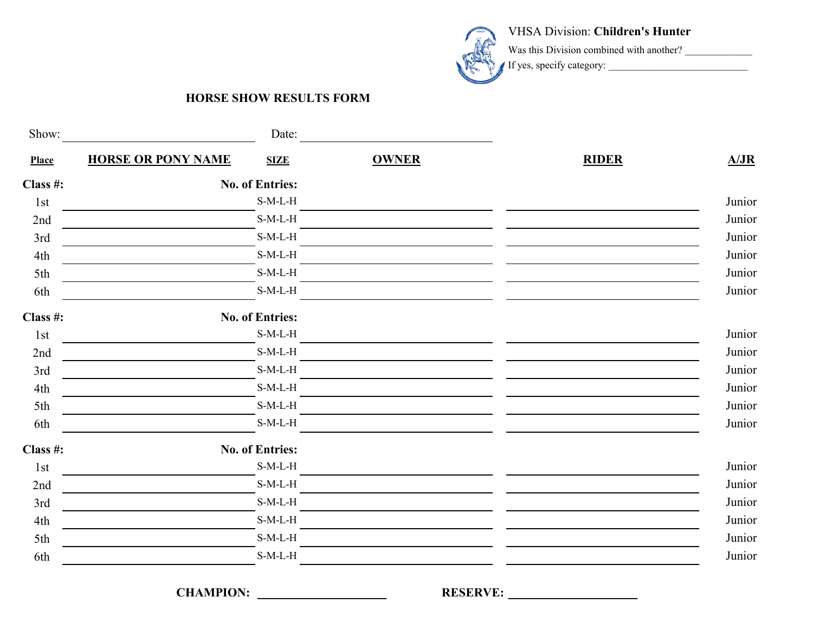

VHSA Division: **Children's Hunter**

Was this Division combined with another? \_\_\_\_\_\_\_\_\_\_\_\_\_

If yes, specify category:

# **HORSE SHOW RESULTS FORM**

| Show:       | Date:                                    |              |              |        |
|-------------|------------------------------------------|--------------|--------------|--------|
| Place       | <b>HORSE OR PONY NAME</b><br><b>SIZE</b> | <b>OWNER</b> | <b>RIDER</b> | A/JR   |
| Class #:    | <b>No. of Entries:</b>                   |              |              |        |
| 1st         | $S-M-L-H$                                |              |              | Junior |
| 2nd         | $S-M-L-H$                                |              |              | Junior |
| 3rd         | $S-M-L-H$                                |              |              | Junior |
| 4th         | $S-M-L-H$                                |              |              | Junior |
| 5th         | $S-M-L-H$                                |              |              | Junior |
| 6th         | $S-M-L-H$                                |              |              | Junior |
| Class $#$ : | <b>No. of Entries:</b>                   |              |              |        |
| 1st         | $S-M-L-H$                                |              |              | Junior |
| 2nd         | $S-M-L-H$                                |              |              | Junior |
| 3rd         | $S-M-L-H$                                |              |              | Junior |
| 4th         | $S-M-L-H$                                |              |              | Junior |
| 5th         | $S-M-L-H$                                |              |              | Junior |
| 6th         | $S-M-L-H$                                |              |              | Junior |
| Class #:    | <b>No. of Entries:</b>                   |              |              |        |
| 1st         | $S-M-L-H$                                |              |              | Junior |
| 2nd         | $\mbox{S-M-L-H}$                         |              |              | Junior |
| 3rd         | $\mbox{S-M-L-H}$                         |              |              | Junior |
| 4th         | $\mbox{S-M-L-H}$                         |              |              | Junior |
| 5th         | $S-M-L-H$                                |              |              | Junior |
| 6th         | $S-M-L-H$                                |              |              | Junior |
|             |                                          |              |              |        |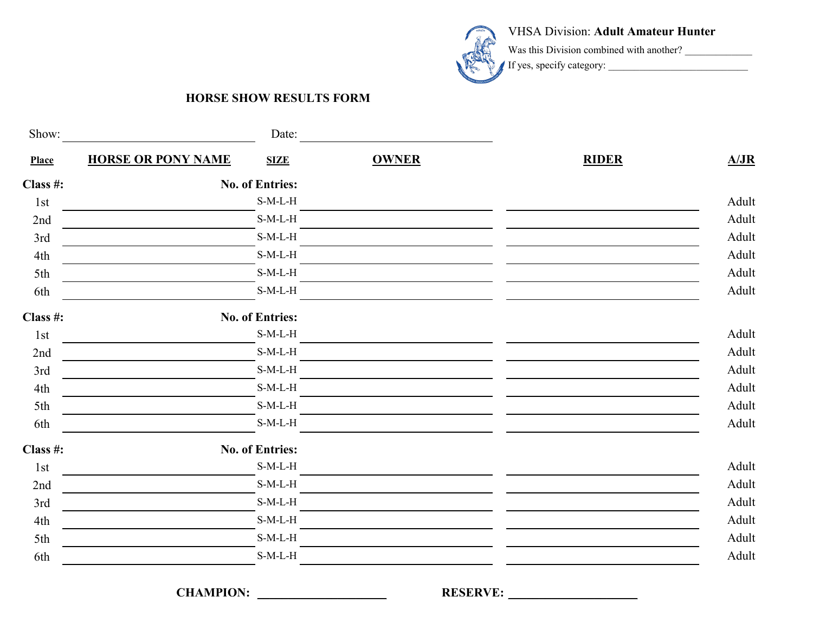

#### VHSA Division: **Adult Amateur Hunter**

Was this Division combined with another? \_\_\_\_\_\_\_\_\_\_\_\_\_

If yes, specify category:

# **HORSE SHOW RESULTS FORM**

| Show:        | Date:                                    |              |              |       |
|--------------|------------------------------------------|--------------|--------------|-------|
| <b>Place</b> | <b>HORSE OR PONY NAME</b><br><b>SIZE</b> | <b>OWNER</b> | <b>RIDER</b> | A/JR  |
| Class #:     | <b>No. of Entries:</b>                   |              |              |       |
| 1st          | $S-M-L-H$                                |              |              | Adult |
| 2nd          | $S-M-L-H$                                |              |              | Adult |
| 3rd          | $S-M-L-H$                                |              |              | Adult |
| 4th          | $S-M-L-H$                                |              |              | Adult |
| 5th          | $S-M-L-H$                                |              |              | Adult |
| 6th          | $\mbox{S-M-L-H}$                         |              |              | Adult |
| Class #:     | <b>No. of Entries:</b>                   |              |              |       |
| 1st          | $S-M-L-H$                                |              |              | Adult |
| 2nd          | $S-M-L-H$                                |              |              | Adult |
| 3rd          | $\mbox{S-M-L-H}$                         |              |              | Adult |
| 4th          | $\mbox{S-M-L-H}$                         |              |              | Adult |
| 5th          | $\mbox{S-M-L-H}$                         |              |              | Adult |
| 6th          | $S-M-L-H$                                |              |              | Adult |
| Class #:     | <b>No. of Entries:</b>                   |              |              |       |
| 1st          | $\mbox{S-M-L-H}$                         |              |              | Adult |
| 2nd          | $S-M-L-H$                                |              |              | Adult |
| 3rd          | $\mbox{S-M-L-H}$                         |              |              | Adult |
| 4th          | $S-M-L-H$                                |              |              | Adult |
| 5th          | $S-M-L-H$                                |              |              | Adult |
| 6th          | $S-M-L-H$                                |              |              | Adult |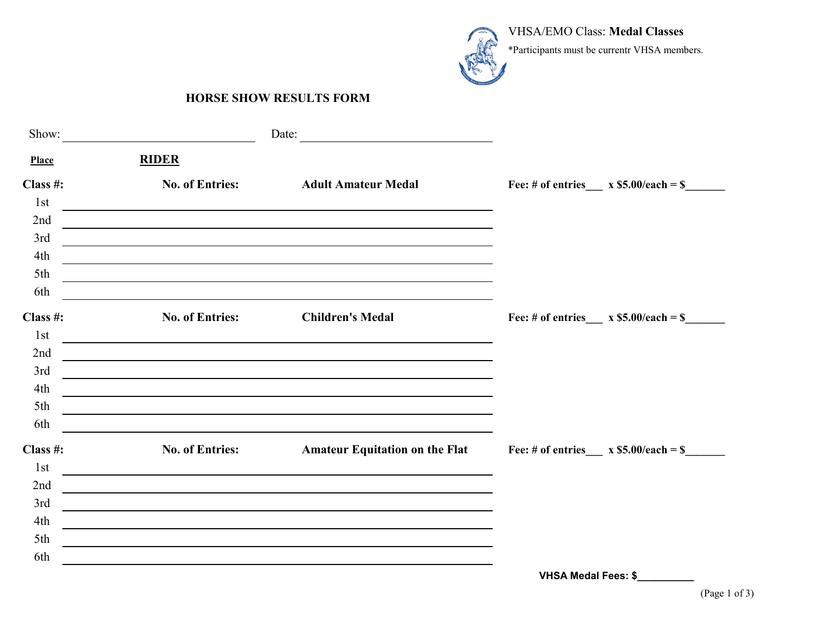

VHSA/EMO Class: **Medal Classes**

\*Participants must be currentr VHSA members.

| Show:        |                        | Date:<br><u> 1989 - Johann John Stone, mars et al. (</u>                                                                                                                                                                             |                                        |
|--------------|------------------------|--------------------------------------------------------------------------------------------------------------------------------------------------------------------------------------------------------------------------------------|----------------------------------------|
| <b>Place</b> | <b>RIDER</b>           |                                                                                                                                                                                                                                      |                                        |
| Class $#$ :  | <b>No. of Entries:</b> | <b>Adult Amateur Medal</b>                                                                                                                                                                                                           | Fee: # of entries $x $5.00/each = $$   |
| 1st          |                        |                                                                                                                                                                                                                                      |                                        |
| 2nd          |                        | and the control of the control of the control of the control of the control of the control of the control of the                                                                                                                     |                                        |
| 3rd          |                        | <u> 1989 - Johann Stoff, deutscher Stoff als der Stoff als der Stoff als der Stoff als der Stoff als der Stoff al</u>                                                                                                                |                                        |
| 4th          |                        | and the control of the control of the control of the control of the control of the control of the control of the                                                                                                                     |                                        |
| 5th          |                        |                                                                                                                                                                                                                                      |                                        |
| 6th          |                        |                                                                                                                                                                                                                                      |                                        |
| Class $#$ :  | <b>No. of Entries:</b> | <b>Children's Medal</b>                                                                                                                                                                                                              | Fee: # of entries $x $5.00/each = $$   |
| 1st          |                        |                                                                                                                                                                                                                                      |                                        |
| 2nd          |                        |                                                                                                                                                                                                                                      |                                        |
| 3rd          |                        | <u> 1980 - Andrea Andrew Maria (h. 1980).</u>                                                                                                                                                                                        |                                        |
| 4th          |                        | <u> 1989 - Johann Stoff, amerikansk politiker (d. 1989)</u>                                                                                                                                                                          |                                        |
| 5th          |                        | and the control of the control of the control of the control of the control of the control of the control of the                                                                                                                     |                                        |
| 6th          |                        | <u>and the control of the control of the control of the control of the control of the control of the control of the control of the control of the control of the control of the control of the control of the control of the con</u> |                                        |
| Class $#$ :  | <b>No. of Entries:</b> | <b>Amateur Equitation on the Flat</b>                                                                                                                                                                                                | Fee: # of entries $x$ \$5.00/each = \$ |
| 1st          |                        | <u> 1989 - Andrea Stadt Britain, amerikansk politik (* 1958)</u>                                                                                                                                                                     |                                        |
| 2nd          |                        |                                                                                                                                                                                                                                      |                                        |
| 3rd          |                        | <u> 1989 - Johann Barnett, fransk politiker (d. 1989)</u>                                                                                                                                                                            |                                        |
| 4th          |                        | <u> 1989 - Johann Stoff, amerikansk politiker (* 1908)</u>                                                                                                                                                                           |                                        |
| 5th          |                        |                                                                                                                                                                                                                                      |                                        |
| 6th          |                        |                                                                                                                                                                                                                                      |                                        |
|              |                        |                                                                                                                                                                                                                                      | <b><i>MIDA Model Press</i></b>         |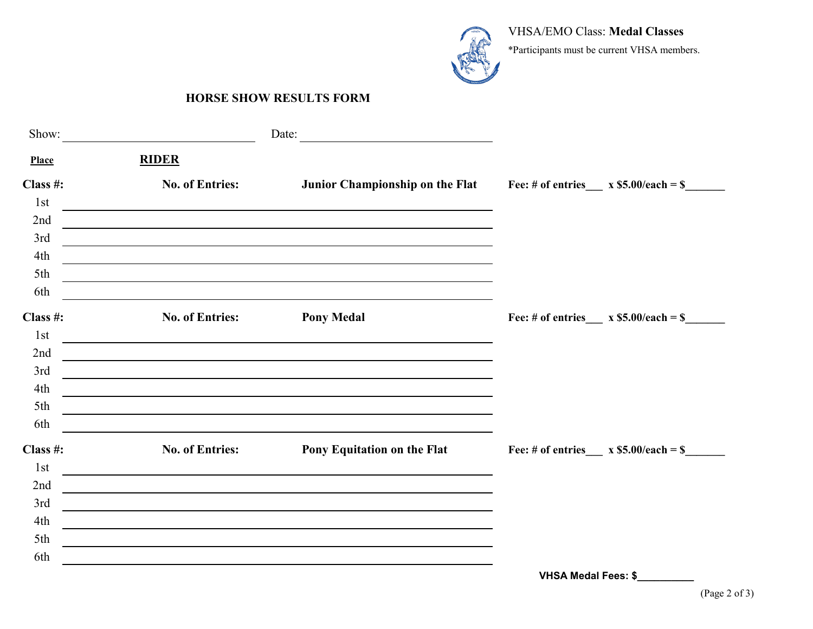

VHSA/EMO Class: **Medal Classes**

\*Participants must be current VHSA members.

| Show:       |                        | Date:                                                                                                                 |                                                                        |
|-------------|------------------------|-----------------------------------------------------------------------------------------------------------------------|------------------------------------------------------------------------|
| Place       | <b>RIDER</b>           |                                                                                                                       |                                                                        |
| Class #:    | <b>No. of Entries:</b> |                                                                                                                       | Junior Championship on the Flat Fee: # of entries $x$ \$5.00/each = \$ |
| 1st         |                        |                                                                                                                       |                                                                        |
| 2nd         |                        |                                                                                                                       |                                                                        |
| 3rd         |                        |                                                                                                                       |                                                                        |
| 4th         |                        | <u> 1980 - Jan Samuel Barbara, martin a shekara tsara 1980 - An tsara 1980 - An tsara 1980 - An tsara 1980 - An t</u> |                                                                        |
| 5th         |                        | and the control of the control of the control of the control of the control of the control of the control of the      |                                                                        |
| 6th         |                        |                                                                                                                       |                                                                        |
| Class $#$ : | <b>No. of Entries:</b> | <b>Pony Medal</b>                                                                                                     | Fee: # of entries $x $5.00/each = $$                                   |
| 1st         |                        | <u> 1989 - Andrea Santa Alemania, amerikana amerikana amerikana amerikana amerikana amerikana amerikana amerikan</u>  |                                                                        |
| 2nd         |                        | <u> 1989 - Johann Barn, mars et al. (b. 1989)</u>                                                                     |                                                                        |
| 3rd         |                        | <u> 1989 - Johann Stoff, deutscher Stoffen und der Stoffen und der Stoffen und der Stoffen und der Stoffen und de</u> |                                                                        |
| 4th         |                        | <u> 1989 - Johann Stein, marwolaethau a bhann an chomhair an chomhair an chomhair an chomhair an chomhair an chom</u> |                                                                        |
| 5th         |                        | and the control of the control of the control of the control of the control of the control of the control of the      |                                                                        |
| 6th         |                        | <u> 1989 - Johann Stoff, amerikansk politiker (d. 1989)</u>                                                           |                                                                        |
| Class #:    | <b>No. of Entries:</b> |                                                                                                                       | Pony Equitation on the Flat Fee: # of entries $x$ \$5.00/each = \$     |
| 1st         |                        |                                                                                                                       |                                                                        |
| 2nd         |                        | <u> 1989 - Jan Samuel Barbara, martin da shekara ta 1989 - An tsara tsara tsara tsara tsara tsara tsara tsara tsa</u> |                                                                        |
| 3rd         |                        |                                                                                                                       |                                                                        |
| 4th         |                        |                                                                                                                       |                                                                        |
| 5th         |                        |                                                                                                                       |                                                                        |
| 6th         |                        |                                                                                                                       |                                                                        |
|             |                        |                                                                                                                       | <b>VHSA Medal Fees: \$</b>                                             |